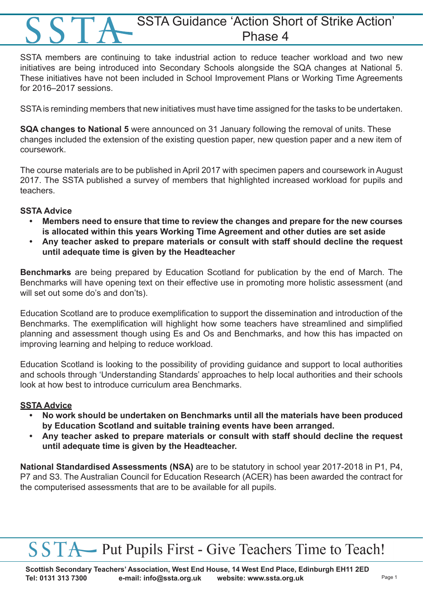### SSTA Guidance 'Action Short of Strike Action' Phase 4

SSTA members are continuing to take industrial action to reduce teacher workload and two new initiatives are being introduced into Secondary Schools alongside the SQA changes at National 5. These initiatives have not been included in School Improvement Plans or Working Time Agreements for 2016–2017 sessions.

SSTA is reminding members that new initiatives must have time assigned for the tasks to be undertaken.

**SQA changes to National 5** were announced on 31 January following the removal of units. These changes included the extension of the existing question paper, new question paper and a new item of coursework.

The course materials are to be published in April 2017 with specimen papers and coursework in August 2017. The SSTA published a survey of members that highlighted increased workload for pupils and teachers.

### **SSTA Advice**

- **• Members need to ensure that time to review the changes and prepare for the new courses is allocated within this years Working Time Agreement and other duties are set aside**
- **• Any teacher asked to prepare materials or consult with staff should decline the request until adequate time is given by the Headteacher**

**Benchmarks** are being prepared by Education Scotland for publication by the end of March. The Benchmarks will have opening text on their effective use in promoting more holistic assessment (and will set out some do's and don'ts).

Education Scotland are to produce exemplification to support the dissemination and introduction of the Benchmarks. The exemplification will highlight how some teachers have streamlined and simplified planning and assessment though using Es and Os and Benchmarks, and how this has impacted on improving learning and helping to reduce workload.

Education Scotland is looking to the possibility of providing guidance and support to local authorities and schools through 'Understanding Standards' approaches to help local authorities and their schools look at how best to introduce curriculum area Benchmarks.

#### **SSTA Advice**

- **• No work should be undertaken on Benchmarks until all the materials have been produced by Education Scotland and suitable training events have been arranged.**
- **• Any teacher asked to prepare materials or consult with staff should decline the request until adequate time is given by the Headteacher.**

**National Standardised Assessments (NSA)** are to be statutory in school year 2017-2018 in P1, P4, P7 and S3. The Australian Council for Education Research (ACER) has been awarded the contract for the computerised assessments that are to be available for all pupils.

# SSTA Put Pupils First - Give Teachers Time to Teach!